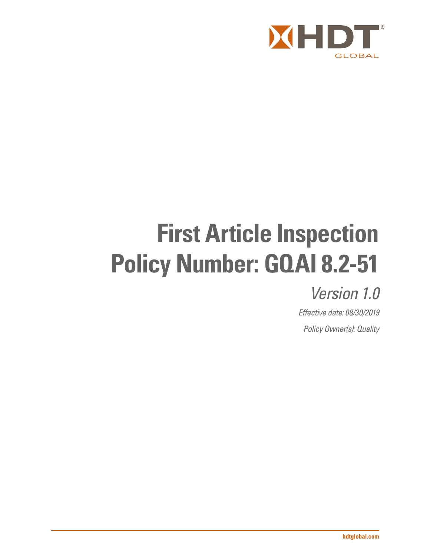

# **First Article Inspection Policy Number: GQAI 8.2-51**

## *Version 1.0*

*Effective date: 08/30/2019 Policy Owner(s): Quality*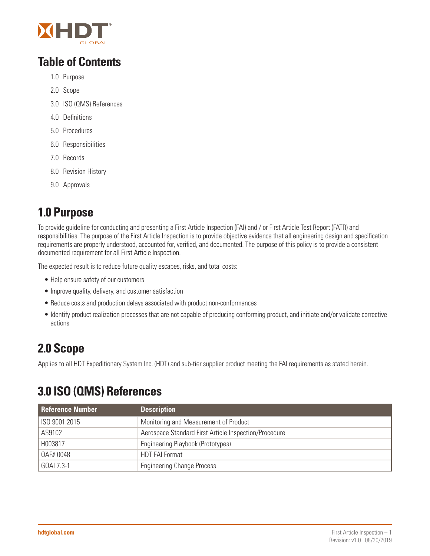

### **Table of Contents**

- 1.0 Purpose
- 2.0 Scope
- 3.0 ISO (QMS) References
- 4.0 Definitions
- 5.0 Procedures
- 6.0 Responsibilities
- 7.0 Records
- 8.0 Revision History
- 9.0 Approvals

### **1.0 Purpose**

To provide guideline for conducting and presenting a First Article Inspection (FAI) and / or First Article Test Report (FATR) and responsibilities. The purpose of the First Article Inspection is to provide objective evidence that all engineering design and specification requirements are properly understood, accounted for, verified, and documented. The purpose of this policy is to provide a consistent documented requirement for all First Article Inspection.

The expected result is to reduce future quality escapes, risks, and total costs:

- Help ensure safety of our customers
- Improve quality, delivery, and customer satisfaction
- Reduce costs and production delays associated with product non-conformances
- Identify product realization processes that are not capable of producing conforming product, and initiate and/or validate corrective actions

### **2.0 Scope**

Applies to all HDT Expeditionary System Inc. (HDT) and sub-tier supplier product meeting the FAI requirements as stated herein.

### **3.0 ISO (QMS) References**

| <b>Reference Number</b> | <b>Description</b>                                    |
|-------------------------|-------------------------------------------------------|
| ISO 9001:2015           | Monitoring and Measurement of Product                 |
| AS9102                  | Aerospace Standard First Article Inspection/Procedure |
| H003817                 | Engineering Playbook (Prototypes)                     |
| QAF# 0048               | <b>HDT FAI Format</b>                                 |
| GQAI 7.3-1              | <b>Engineering Change Process</b>                     |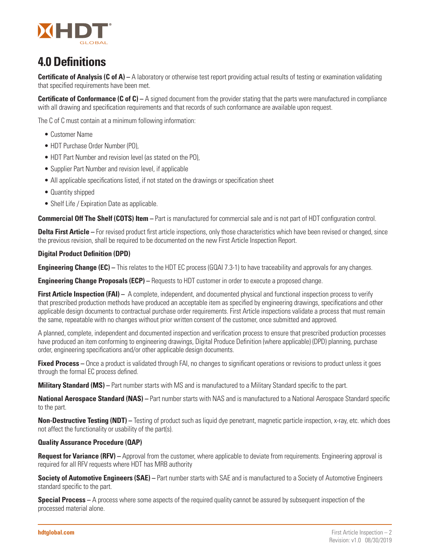

### **4.0 Definitions**

**Certificate of Analysis (C of A)** – A laboratory or otherwise test report providing actual results of testing or examination validating that specified requirements have been met.

**Certificate of Conformance (C of C)** – A signed document from the provider stating that the parts were manufactured in compliance with all drawing and specification requirements and that records of such conformance are available upon request.

The C of C must contain at a minimum following information:

- Customer Name
- HDT Purchase Order Number (PO),
- HDT Part Number and revision level (as stated on the PO),
- Supplier Part Number and revision level, if applicable
- All applicable specifications listed, if not stated on the drawings or specification sheet
- Quantity shipped
- Shelf Life / Expiration Date as applicable.

**Commercial Off The Shelf (COTS) Item –** Part is manufactured for commercial sale and is not part of HDT configuration control.

**Delta First Article** – For revised product first article inspections, only those characteristics which have been revised or changed, since the previous revision, shall be required to be documented on the new First Article Inspection Report.

#### **Digital Product Definition (DPD)**

**Engineering Change (EC)** – This relates to the HDT EC process (GQAI 7.3-1) to have traceability and approvals for any changes.

**Engineering Change Proposals (ECP) –** Requests to HDT customer in order to execute a proposed change.

**First Article Inspection (FAI)** – A complete, independent, and documented physical and functional inspection process to verify that prescribed production methods have produced an acceptable item as specified by engineering drawings, specifications and other applicable design documents to contractual purchase order requirements. First Article inspections validate a process that must remain the same, repeatable with no changes without prior written consent of the customer, once submitted and approved.

A planned, complete, independent and documented inspection and verification process to ensure that prescribed production processes have produced an item conforming to engineering drawings, Digital Produce Definition (where applicable) (DPD) planning, purchase order, engineering specifications and/or other applicable design documents.

**Fixed Process** – Once a product is validated through FAI, no changes to significant operations or revisions to product unless it goes through the formal EC process defined.

**Military Standard (MS)** – Part number starts with MS and is manufactured to a Military Standard specific to the part.

**National Aerospace Standard (NAS)** – Part number starts with NAS and is manufactured to a National Aerospace Standard specific to the part.

**Non-Destructive Testing (NDT)** – Testing of product such as liquid dye penetrant, magnetic particle inspection, x-ray, etc. which does not affect the functionality or usability of the part(s).

#### **Quality Assurance Procedure (QAP)**

**Request for Variance (RFV)** – Approval from the customer, where applicable to deviate from requirements. Engineering approval is required for all RFV requests where HDT has MRB authority

**Society of Automotive Engineers (SAE)** – Part number starts with SAE and is manufactured to a Society of Automotive Engineers standard specific to the part.

**Special Process** – A process where some aspects of the required quality cannot be assured by subsequent inspection of the processed material alone.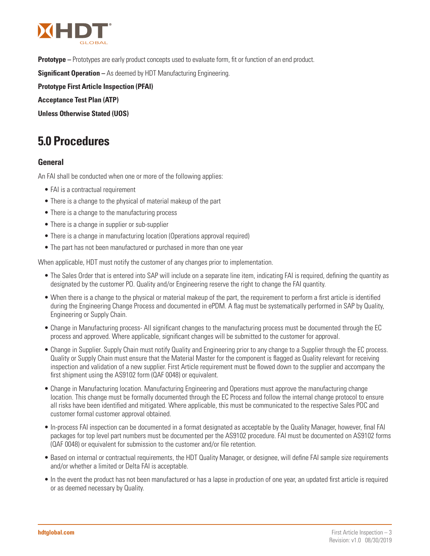

**Prototype –** Prototypes are early product concepts used to evaluate form, fit or function of an end product.

**Significant Operation –** As deemed by HDT Manufacturing Engineering.

**Prototype First Article Inspection (PFAI)**

**Acceptance Test Plan (ATP)**

**Unless Otherwise Stated (UOS)**

### **5.0 Procedures**

#### **General**

An FAI shall be conducted when one or more of the following applies:

- FAI is a contractual requirement
- There is a change to the physical of material makeup of the part
- There is a change to the manufacturing process
- There is a change in supplier or sub-supplier
- There is a change in manufacturing location (Operations approval required)
- The part has not been manufactured or purchased in more than one year

When applicable, HDT must notify the customer of any changes prior to implementation.

- The Sales Order that is entered into SAP will include on a separate line item, indicating FAI is required, defining the quantity as designated by the customer PO. Quality and/or Engineering reserve the right to change the FAI quantity.
- When there is a change to the physical or material makeup of the part, the requirement to perform a first article is identified during the Engineering Change Process and documented in ePDM. A flag must be systematically performed in SAP by Quality, Engineering or Supply Chain.
- Change in Manufacturing process- All significant changes to the manufacturing process must be documented through the EC process and approved. Where applicable, significant changes will be submitted to the customer for approval.
- Change in Supplier. Supply Chain must notify Quality and Engineering prior to any change to a Supplier through the EC process. Quality or Supply Chain must ensure that the Material Master for the component is flagged as Quality relevant for receiving inspection and validation of a new supplier. First Article requirement must be flowed down to the supplier and accompany the first shipment using the AS9102 form (QAF 0048) or equivalent.
- Change in Manufacturing location. Manufacturing Engineering and Operations must approve the manufacturing change location. This change must be formally documented through the EC Process and follow the internal change protocol to ensure all risks have been identified and mitigated. Where applicable, this must be communicated to the respective Sales POC and customer formal customer approval obtained.
- In-process FAI inspection can be documented in a format designated as acceptable by the Quality Manager, however, final FAI packages for top level part numbers must be documented per the AS9102 procedure. FAI must be documented on AS9102 forms (QAF 0048) or equivalent for submission to the customer and/or file retention.
- Based on internal or contractual requirements, the HDT Quality Manager, or designee, will define FAI sample size requirements and/or whether a limited or Delta FAI is acceptable.
- In the event the product has not been manufactured or has a lapse in production of one year, an updated first article is required or as deemed necessary by Quality.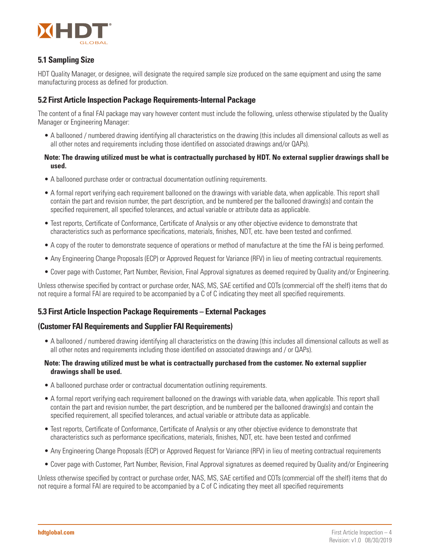

#### **5.1 Sampling Size**

HDT Quality Manager, or designee, will designate the required sample size produced on the same equipment and using the same manufacturing process as defined for production.

#### **5.2 First Article Inspection Package Requirements-Internal Package**

The content of a final FAI package may vary however content must include the following, unless otherwise stipulated by the Quality Manager or Engineering Manager:

• A ballooned / numbered drawing identifying all characteristics on the drawing (this includes all dimensional callouts as well as all other notes and requirements including those identified on associated drawings and/or QAPs).

#### **Note: The drawing utilized must be what is contractually purchased by HDT. No external supplier drawings shall be used.**

- A ballooned purchase order or contractual documentation outlining requirements.
- A formal report verifying each requirement ballooned on the drawings with variable data, when applicable. This report shall contain the part and revision number, the part description, and be numbered per the ballooned drawing(s) and contain the specified requirement, all specified tolerances, and actual variable or attribute data as applicable.
- Test reports, Certificate of Conformance, Certificate of Analysis or any other objective evidence to demonstrate that characteristics such as performance specifications, materials, finishes, NDT, etc. have been tested and confirmed.
- A copy of the router to demonstrate sequence of operations or method of manufacture at the time the FAI is being performed.
- Any Engineering Change Proposals (ECP) or Approved Request for Variance (RFV) in lieu of meeting contractual requirements.
- Cover page with Customer, Part Number, Revision, Final Approval signatures as deemed required by Quality and/or Engineering.

Unless otherwise specified by contract or purchase order, NAS, MS, SAE certified and COTs (commercial off the shelf) items that do not require a formal FAI are required to be accompanied by a C of C indicating they meet all specified requirements.

#### **5.3 First Article Inspection Package Requirements – External Packages**

#### **(Customer FAI Requirements and Supplier FAI Requirements)**

• A ballooned / numbered drawing identifying all characteristics on the drawing (this includes all dimensional callouts as well as all other notes and requirements including those identified on associated drawings and / or QAPs).

#### **Note: The drawing utilized must be what is contractually purchased from the customer. No external supplier drawings shall be used.**

- A ballooned purchase order or contractual documentation outlining requirements.
- A formal report verifying each requirement ballooned on the drawings with variable data, when applicable. This report shall contain the part and revision number, the part description, and be numbered per the ballooned drawing(s) and contain the specified requirement, all specified tolerances, and actual variable or attribute data as applicable.
- Test reports, Certificate of Conformance, Certificate of Analysis or any other objective evidence to demonstrate that characteristics such as performance specifications, materials, finishes, NDT, etc. have been tested and confirmed
- Any Engineering Change Proposals (ECP) or Approved Request for Variance (RFV) in lieu of meeting contractual requirements
- Cover page with Customer, Part Number, Revision, Final Approval signatures as deemed required by Quality and/or Engineering

Unless otherwise specified by contract or purchase order, NAS, MS, SAE certified and COTs (commercial off the shelf) items that do not require a formal FAI are required to be accompanied by a C of C indicating they meet all specified requirements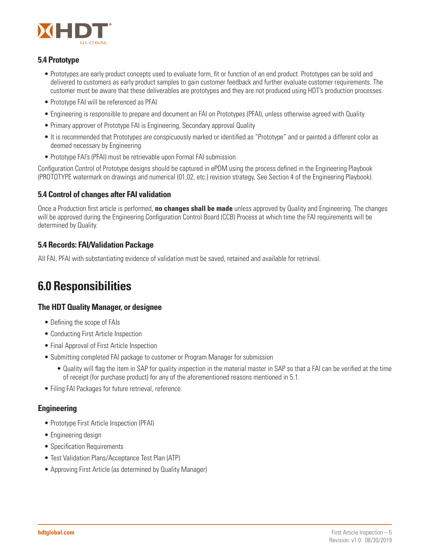

#### **5.4 Prototype**

- Prototypes are early product concepts used to evaluate form, fit or function of an end product. Prototypes can be sold and delivered to customers as early product samples to gain customer feedback and further evaluate customer requirements. The customer must be aware that these deliverables are prototypes and they are not produced using HDT's production processes.
- Prototype FAI will be referenced as PFAI
- Engineering is responsible to prepare and document an FAI on Prototypes (PFAI), unless otherwise agreed with Quality
- Primary approver of Prototype FAI is Engineering, Secondary approval Quality
- It is recommended that Prototypes are conspicuously marked or identified as "Prototype" and or painted a different color as deemed necessary by Engineering
- Prototype FAI's (PFAI) must be retrievable upon Formal FAI submission

Configuration Control of Prototype designs should be captured in ePDM using the process defined in the Engineering Playbook (PROTOTYPE watermark on drawings and numerical (01,02, etc.) revision strategy, See Section 4 of the Engineering Playbook).

#### **5.4 Control of changes after FAI validation**

Once a Production first article is performed, **no changes shall be made** unless approved by Quality and Engineering. The changes will be approved during the Engineering Configuration Control Board (CCB) Process at which time the FAI requirements will be determined by Quality.

#### **5.4 Records: FAI/Validation Package**

All FAI, PFAI with substantiating evidence of validation must be saved, retained and available for retrieval.

### **6.0 Responsibilities**

#### **The HDT Quality Manager, or designee**

- Defining the scope of FAIs
- Conducting First Article Inspection
- Final Approval of First Article Inspection
- Submitting completed FAI package to customer or Program Manager for submission
	- Quality will flag the item in SAP for quality inspection in the material master in SAP so that a FAI can be verified at the time of receipt (for purchase product) for any of the aforementioned reasons mentioned in 5.1.
- Filing FAI Packages for future retrieval, reference.

#### **Engineering**

- Prototype First Article Inspection (PFAI)
- Engineering design
- Specification Requirements
- Test Validation Plans/Acceptance Test Plan (ATP)
- Approving First Article (as determined by Quality Manager)